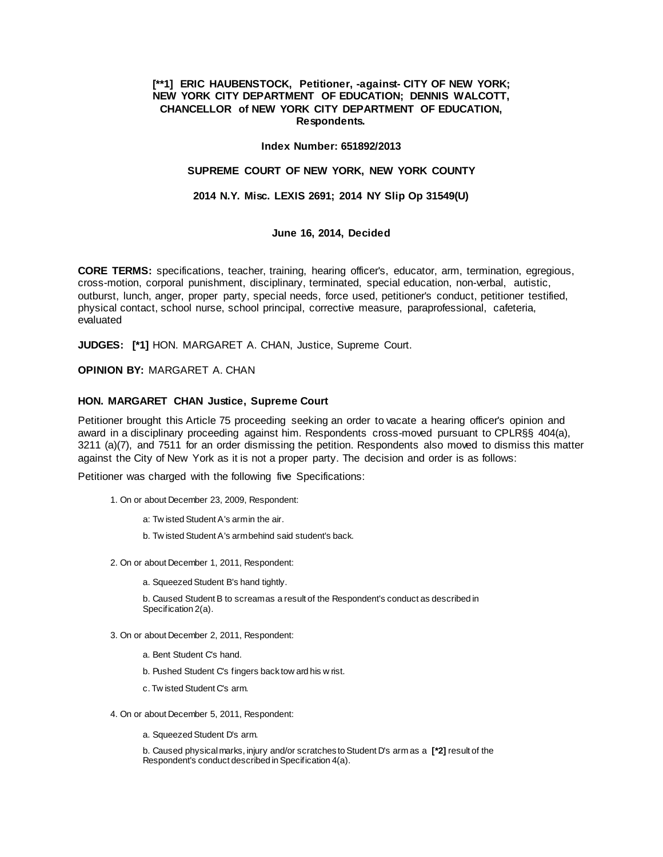## **[\*\*1] ERIC HAUBENSTOCK, Petitioner, -against- CITY OF NEW YORK; NEW YORK CITY DEPARTMENT OF EDUCATION; DENNIS WALCOTT, CHANCELLOR of NEW YORK CITY DEPARTMENT OF EDUCATION, Respondents.**

#### **Index Number: 651892/2013**

## **SUPREME COURT OF NEW YORK, NEW YORK COUNTY**

### **2014 N.Y. Misc. LEXIS 2691; 2014 NY Slip Op 31549(U)**

#### **June 16, 2014, Decided**

**CORE TERMS:** specifications, teacher, training, hearing officer's, educator, arm, termination, egregious, cross-motion, corporal punishment, disciplinary, terminated, special education, non-verbal, autistic, outburst, lunch, anger, proper party, special needs, force used, petitioner's conduct, petitioner testified, physical contact, school nurse, school principal, corrective measure, paraprofessional, cafeteria, evaluated

**JUDGES: [\*1]** HON. MARGARET A. CHAN, Justice, Supreme Court.

**OPINION BY:** MARGARET A. CHAN

#### **HON. MARGARET CHAN Justice, Supreme Court**

Petitioner brought this Article 75 proceeding seeking an order to vacate a hearing officer's opinion and award in a disciplinary proceeding against him. Respondents cross-moved pursuant to CPLR§§ 404(a), 3211 (a)(7), and 7511 for an order dismissing the petition. Respondents also moved to dismiss this matter against the City of New York as it is not a proper party. The decision and order is as follows:

Petitioner was charged with the following five Specifications:

- 1. On or about December 23, 2009, Respondent:
	- a: Tw isted Student A's arm in the air.
	- b. Tw isted Student A's arm behind said student's back.
- 2. On or about December 1, 2011, Respondent:
	- a. Squeezed Student B's hand tightly.

b. Caused Student B to scream as a result of the Respondent's conduct as described in Specification 2(a).

- 3. On or about December 2, 2011, Respondent:
	- a. Bent Student C's hand.
	- b. Pushed Student C's fingers back tow ard his w rist.
	- c. Tw isted Student C's arm.
- 4. On or about December 5, 2011, Respondent:
	- a. Squeezed Student D's arm.

b. Caused physical marks, injury and/or scratches to Student D's arm as a **[\*2]** result of the Respondent's conduct described in Specification 4(a).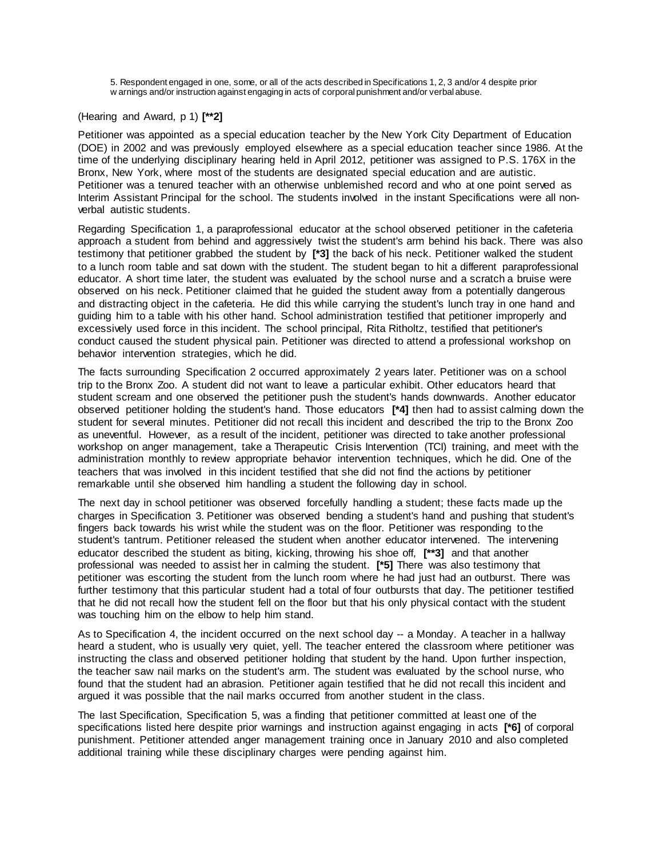5. Respondent engaged in one, some, or all of the acts described in Specifications 1, 2, 3 and/or 4 despite prior w arnings and/or instruction against engaging in acts of corporal punishment and/or verbal abuse.

# (Hearing and Award, p 1) **[\*\*2]**

Petitioner was appointed as a special education teacher by the New York City Department of Education (DOE) in 2002 and was previously employed elsewhere as a special education teacher since 1986. At the time of the underlying disciplinary hearing held in April 2012, petitioner was assigned to P.S. 176X in the Bronx, New York, where most of the students are designated special education and are autistic. Petitioner was a tenured teacher with an otherwise unblemished record and who at one point served as Interim Assistant Principal for the school. The students involved in the instant Specifications were all nonverbal autistic students.

Regarding Specification 1, a paraprofessional educator at the school observed petitioner in the cafeteria approach a student from behind and aggressively twist the student's arm behind his back. There was also testimony that petitioner grabbed the student by **[\*3]** the back of his neck. Petitioner walked the student to a lunch room table and sat down with the student. The student began to hit a different paraprofessional educator. A short time later, the student was evaluated by the school nurse and a scratch a bruise were observed on his neck. Petitioner claimed that he guided the student away from a potentially dangerous and distracting object in the cafeteria. He did this while carrying the student's lunch tray in one hand and guiding him to a table with his other hand. School administration testified that petitioner improperly and excessively used force in this incident. The school principal, Rita Ritholtz, testified that petitioner's conduct caused the student physical pain. Petitioner was directed to attend a professional workshop on behavior intervention strategies, which he did.

The facts surrounding Specification 2 occurred approximately 2 years later. Petitioner was on a school trip to the Bronx Zoo. A student did not want to leave a particular exhibit. Other educators heard that student scream and one observed the petitioner push the student's hands downwards. Another educator observed petitioner holding the student's hand. Those educators **[\*4]** then had to assist calming down the student for several minutes. Petitioner did not recall this incident and described the trip to the Bronx Zoo as uneventful. However, as a result of the incident, petitioner was directed to take another professional workshop on anger management, take a Therapeutic Crisis Intervention (TCI) training, and meet with the administration monthly to review appropriate behavior intervention techniques, which he did. One of the teachers that was involved in this incident testified that she did not find the actions by petitioner remarkable until she observed him handling a student the following day in school.

The next day in school petitioner was observed forcefully handling a student; these facts made up the charges in Specification 3. Petitioner was observed bending a student's hand and pushing that student's fingers back towards his wrist while the student was on the floor. Petitioner was responding to the student's tantrum. Petitioner released the student when another educator intervened. The intervening educator described the student as biting, kicking, throwing his shoe off, **[\*\*3]** and that another professional was needed to assist her in calming the student. **[\*5]** There was also testimony that petitioner was escorting the student from the lunch room where he had just had an outburst. There was further testimony that this particular student had a total of four outbursts that day. The petitioner testified that he did not recall how the student fell on the floor but that his only physical contact with the student was touching him on the elbow to help him stand.

As to Specification 4, the incident occurred on the next school day -- a Monday. A teacher in a hallway heard a student, who is usually very quiet, yell. The teacher entered the classroom where petitioner was instructing the class and observed petitioner holding that student by the hand. Upon further inspection, the teacher saw nail marks on the student's arm. The student was evaluated by the school nurse, who found that the student had an abrasion. Petitioner again testified that he did not recall this incident and argued it was possible that the nail marks occurred from another student in the class.

The last Specification, Specification 5, was a finding that petitioner committed at least one of the specifications listed here despite prior warnings and instruction against engaging in acts **[\*6]** of corporal punishment. Petitioner attended anger management training once in January 2010 and also completed additional training while these disciplinary charges were pending against him.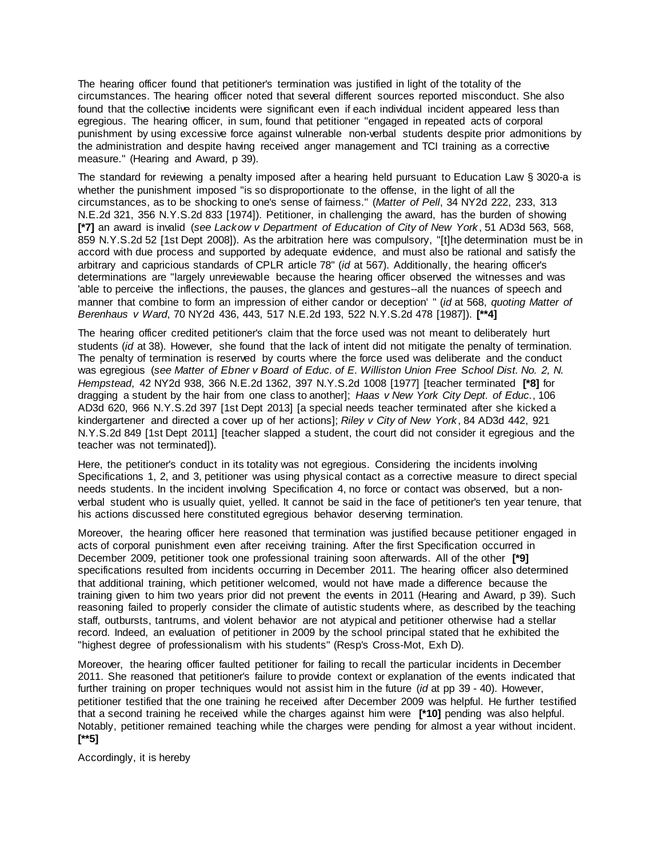The hearing officer found that petitioner's termination was justified in light of the totality of the circumstances. The hearing officer noted that several different sources reported misconduct. She also found that the collective incidents were significant even if each individual incident appeared less than egregious. The hearing officer, in sum, found that petitioner "engaged in repeated acts of corporal punishment by using excessive force against vulnerable non-verbal students despite prior admonitions by the administration and despite having received anger management and TCI training as a corrective measure." (Hearing and Award, p 39).

The standard for reviewing a penalty imposed after a hearing held pursuant to Education Law § 3020-a is whether the punishment imposed "is so disproportionate to the offense, in the light of all the circumstances, as to be shocking to one's sense of fairness." (*Matter of Pell*, 34 NY2d 222, 233, 313 N.E.2d 321, 356 N.Y.S.2d 833 [1974]). Petitioner, in challenging the award, has the burden of showing **[\*7]** an award is invalid (*see Lackow v Department of Education of City of New York*, 51 AD3d 563, 568, 859 N.Y.S.2d 52 [1st Dept 2008]). As the arbitration here was compulsory, "[t]he determination must be in accord with due process and supported by adequate evidence, and must also be rational and satisfy the arbitrary and capricious standards of CPLR article 78" (*id* at 567). Additionally, the hearing officer's determinations are "largely unreviewable because the hearing officer observed the witnesses and was 'able to perceive the inflections, the pauses, the glances and gestures--all the nuances of speech and manner that combine to form an impression of either candor or deception' " (*id* at 568, *quoting Matter of Berenhaus v Ward*, 70 NY2d 436, 443, 517 N.E.2d 193, 522 N.Y.S.2d 478 [1987]). **[\*\*4]**

The hearing officer credited petitioner's claim that the force used was not meant to deliberately hurt students (*id* at 38). However, she found that the lack of intent did not mitigate the penalty of termination. The penalty of termination is reserved by courts where the force used was deliberate and the conduct was egregious (*see Matter of Ebner v Board of Educ. of E. Williston Union Free School Dist. No. 2, N. Hempstead*, 42 NY2d 938, 366 N.E.2d 1362, 397 N.Y.S.2d 1008 [1977] [teacher terminated **[\*8]** for dragging a student by the hair from one class to another]; *Haas v New York City Dept. of Educ.*, 106 AD3d 620, 966 N.Y.S.2d 397 [1st Dept 2013] [a special needs teacher terminated after she kicked a kindergartener and directed a cover up of her actions]; *Riley v City of New York*, 84 AD3d 442, 921 N.Y.S.2d 849 [1st Dept 2011] [teacher slapped a student, the court did not consider it egregious and the teacher was not terminated]).

Here, the petitioner's conduct in its totality was not egregious. Considering the incidents involving Specifications 1, 2, and 3, petitioner was using physical contact as a corrective measure to direct special needs students. In the incident involving Specification 4, no force or contact was observed, but a nonverbal student who is usually quiet, yelled. It cannot be said in the face of petitioner's ten year tenure, that his actions discussed here constituted egregious behavior deserving termination.

Moreover, the hearing officer here reasoned that termination was justified because petitioner engaged in acts of corporal punishment even after receiving training. After the first Specification occurred in December 2009, petitioner took one professional training soon afterwards. All of the other **[\*9]** specifications resulted from incidents occurring in December 2011. The hearing officer also determined that additional training, which petitioner welcomed, would not have made a difference because the training given to him two years prior did not prevent the events in 2011 (Hearing and Award, p 39). Such reasoning failed to properly consider the climate of autistic students where, as described by the teaching staff, outbursts, tantrums, and violent behavior are not atypical and petitioner otherwise had a stellar record. Indeed, an evaluation of petitioner in 2009 by the school principal stated that he exhibited the "highest degree of professionalism with his students" (Resp's Cross-Mot, Exh D).

Moreover, the hearing officer faulted petitioner for failing to recall the particular incidents in December 2011. She reasoned that petitioner's failure to provide context or explanation of the events indicated that further training on proper techniques would not assist him in the future (*id* at pp 39 - 40). However, petitioner testified that the one training he received after December 2009 was helpful. He further testified that a second training he received while the charges against him were **[\*10]** pending was also helpful. Notably, petitioner remained teaching while the charges were pending for almost a year without incident. **[\*\*5]**

Accordingly, it is hereby